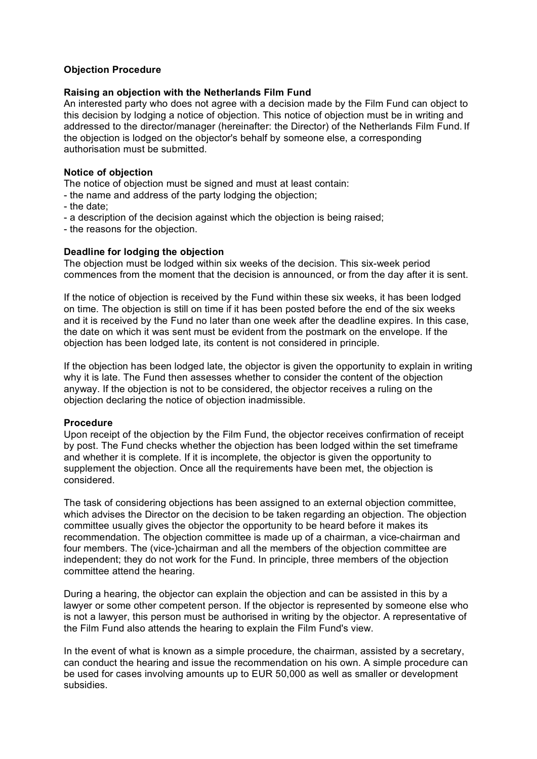# **Objection Procedure**

#### **Raising an objection with the Netherlands Film Fund**

An interested party who does not agree with a decision made by the Film Fund can object to this decision by lodging a notice of objection. This notice of objection must be in writing and addressed to the director/manager (hereinafter: the Director) of the Netherlands Film Fund. If the objection is lodged on the objector's behalf by someone else, a corresponding authorisation must be submitted.

# **Notice of objection**

The notice of objection must be signed and must at least contain:

- the name and address of the party lodging the objection;
- the date;
- a description of the decision against which the objection is being raised;
- the reasons for the objection.

# **Deadline for lodging the objection**

The objection must be lodged within six weeks of the decision. This six-week period commences from the moment that the decision is announced, or from the day after it is sent.

If the notice of objection is received by the Fund within these six weeks, it has been lodged on time. The objection is still on time if it has been posted before the end of the six weeks and it is received by the Fund no later than one week after the deadline expires. In this case, the date on which it was sent must be evident from the postmark on the envelope. If the objection has been lodged late, its content is not considered in principle.

If the objection has been lodged late, the objector is given the opportunity to explain in writing why it is late. The Fund then assesses whether to consider the content of the objection anyway. If the objection is not to be considered, the objector receives a ruling on the objection declaring the notice of objection inadmissible.

#### **Procedure**

Upon receipt of the objection by the Film Fund, the objector receives confirmation of receipt by post. The Fund checks whether the objection has been lodged within the set timeframe and whether it is complete. If it is incomplete, the objector is given the opportunity to supplement the objection. Once all the requirements have been met, the objection is considered.

The task of considering objections has been assigned to an external objection committee, which advises the Director on the decision to be taken regarding an objection. The objection committee usually gives the objector the opportunity to be heard before it makes its recommendation. The objection committee is made up of a chairman, a vice-chairman and four members. The (vice-)chairman and all the members of the objection committee are independent; they do not work for the Fund. In principle, three members of the objection committee attend the hearing.

During a hearing, the objector can explain the objection and can be assisted in this by a lawyer or some other competent person. If the objector is represented by someone else who is not a lawyer, this person must be authorised in writing by the objector. A representative of the Film Fund also attends the hearing to explain the Film Fund's view.

In the event of what is known as a simple procedure, the chairman, assisted by a secretary, can conduct the hearing and issue the recommendation on his own. A simple procedure can be used for cases involving amounts up to EUR 50,000 as well as smaller or development subsidies.